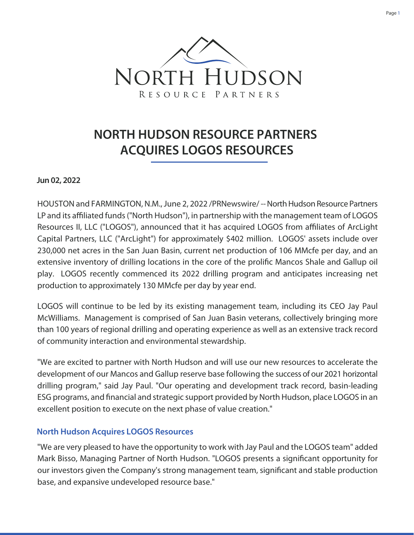

# **NORTH HUDSON RESOURCE PARTNERS ACQUIRES LOGOS RESOURCES**

#### **Jun 02, 2022**

HOUSTON and FARMINGTON, N.M., June 2, 2022 /PRNewswire/ -- North Hudson Resource Partners LP and its affiliated funds ("North Hudson"), in partnership with the management team of LOGOS Resources II, LLC ("LOGOS"), announced that it has acquired LOGOS from affiliates of ArcLight Capital Partners, LLC ("ArcLight") for approximately \$402 million. LOGOS' assets include over 230,000 net acres in the San Juan Basin, current net production of 106 MMcfe per day, and an extensive inventory of drilling locations in the core of the prolific Mancos Shale and Gallup oil play. LOGOS recently commenced its 2022 drilling program and anticipates increasing net production to approximately 130 MMcfe per day by year end.

LOGOS will continue to be led by its existing management team, including its CEO Jay Paul McWilliams. Management is comprised of San Juan Basin veterans, collectively bringing more than 100 years of regional drilling and operating experience as well as an extensive track record of community interaction and environmental stewardship.

"We are excited to partner with North Hudson and will use our new resources to accelerate the development of our Mancos and Gallup reserve base following the success of our 2021 horizontal drilling program," said Jay Paul. "Our operating and development track record, basin-leading ESG programs, and financial and strategic support provided by North Hudson, place LOGOS in an excellent position to execute on the next phase of value creation."

#### **North Hudson Acquires LOGOS Resources**

"We are very pleased to have the opportunity to work with Jay Paul and the LOGOS team" added Mark Bisso, Managing Partner of North Hudson. "LOGOS presents a significant opportunity for our investors given the Company's strong management team, significant and stable production base, and expansive undeveloped resource base."